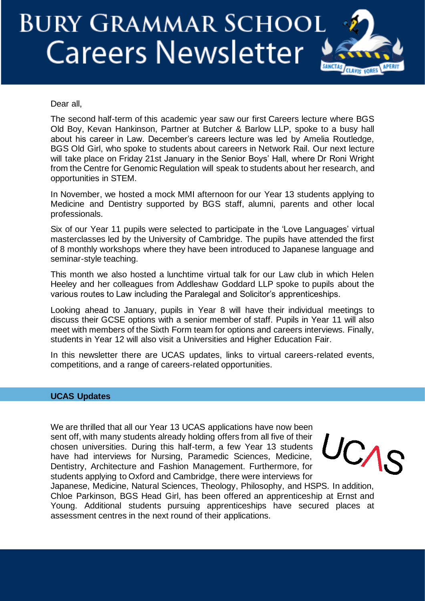# **BURY GRAMMAR SCHOOL Careers Newsletter**



Dear all,

The second half-term of this academic year saw our first Careers lecture where BGS Old Boy, Kevan Hankinson, Partner at Butcher & Barlow LLP, spoke to a busy hall about his career in Law. December's careers lecture was led by Amelia Routledge, BGS Old Girl, who spoke to students about careers in Network Rail. Our next lecture will take place on Friday 21st January in the Senior Boys' Hall, where Dr Roni Wright from the Centre for Genomic Regulation will speak to students about her research, and opportunities in STEM.

In November, we hosted a mock MMI afternoon for our Year 13 students applying to Medicine and Dentistry supported by BGS staff, alumni, parents and other local professionals.

Six of our Year 11 pupils were selected to participate in the 'Love Languages' virtual masterclasses led by the University of Cambridge. The pupils have attended the first of 8 monthly workshops where they have been introduced to Japanese language and seminar-style teaching.

This month we also hosted a lunchtime virtual talk for our Law club in which Helen Heeley and her colleagues from Addleshaw Goddard LLP spoke to pupils about the various routes to Law including the Paralegal and Solicitor's apprenticeships.

Looking ahead to January, pupils in Year 8 will have their individual meetings to discuss their GCSE options with a senior member of staff. Pupils in Year 11 will also meet with members of the Sixth Form team for options and careers interviews. Finally, students in Year 12 will also visit a Universities and Higher Education Fair.

In this newsletter there are UCAS updates, links to virtual careers-related events, competitions, and a range of careers-related opportunities.

## **UCAS Updates**

We are thrilled that all our Year 13 UCAS applications have now been sent off, with many students already holding offers from all five of their chosen universities. During this half-term, a few Year 13 students have had interviews for Nursing, Paramedic Sciences, Medicine, Dentistry, Architecture and Fashion Management. Furthermore, for students applying to Oxford and Cambridge, there were interviews for

UCAS

Japanese, Medicine, Natural Sciences, Theology, Philosophy, and HSPS. In addition, Chloe Parkinson, BGS Head Girl, has been offered an apprenticeship at Ernst and Young. Additional students pursuing apprenticeships have secured places at assessment centres in the next round of their applications.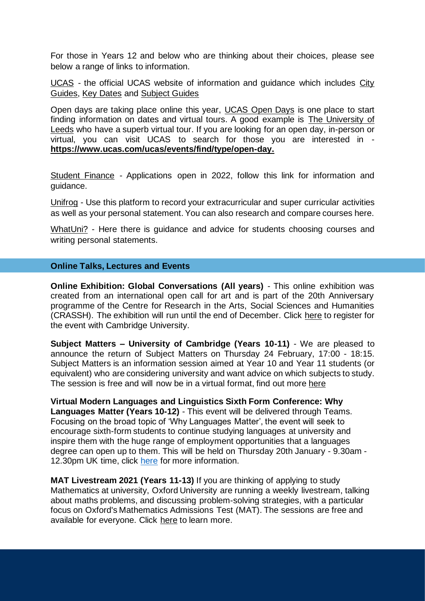For those in Years 12 and below who are thinking about their choices, please see below a range of links to information.

[UCAS](https://www.ucas.com/) - the official UCAS website of information and guidance which includes [City](https://www.ucas.com/city-guides)  [Guides,](https://www.ucas.com/city-guides) [Key Dates](https://www.ucas.com/ucas/events/find/scheme/undergraduate/type/key-date?layout=list) and [Subject Guides](https://www.ucas.com/explore/subjects)

Open days are taking place online this year, [UCAS Open Days](https://www.ucas.com/undergraduate/what-and-where-study/events-and-open-days) is one place to start finding information on dates and virtual tours. A good example is [The University of](https://virtualcampustour.leeds.ac.uk/)  [Leeds](https://virtualcampustour.leeds.ac.uk/) who have a superb virtual tour. If you are looking for an open day, in-person or virtual, you can visit UCAS to search for those you are interested in **[https://www.ucas.com/ucas/events/find/type/open-day.](https://www.ucas.com/ucas/events/find/type/open-day)**

[Student Finance](https://www.gov.uk/student-finance) - Applications open in 2022, follow this link for information and guidance.

[Unifrog](https://www.unifrog.org/) - Use this platform to record your extracurricular and super curricular activities as well as your personal statement. You can also research and compare courses here.

[WhatUni?](https://www.whatuni.com/) - Here there is guidance and advice for students choosing courses and writing personal statements.

### **Online Talks, Lectures and Events**

**Online Exhibition: Global Conversations (All years)** - This online exhibition was created from an international open call for art and is part of the 20th Anniversary programme of the Centre for Research in the Arts, Social Sciences and Humanities (CRASSH). The exhibition will run until the end of December. Click [here](https://www.admin.cam.ac.uk/whatson/detail.shtml?uid=d03d39f2-77f2-4f63-a541-de0fe8fe9dd9) to register for the event with Cambridge University.

**Subject Matters – University of Cambridge (Years 10-11)** - We are pleased to announce the return of Subject Matters on Thursday 24 February, 17:00 - 18:15. Subject Matters is an information session aimed at Year 10 and Year 11 students (or equivalent) who are considering university and want advice on which subjects to study. The session is free and will now be in a virtual format, find out more [here](https://www.undergraduate.study.cam.ac.uk/events/subjectmatters)

**Virtual Modern Languages and Linguistics Sixth Form Conference: Why Languages Matter (Years 10-12)** - This event will be delivered through Teams. Focusing on the broad topic of 'Why Languages Matter', the event will seek to encourage sixth-form students to continue studying languages at university and inspire them with the huge range of employment opportunities that a languages degree can open up to them. This will be held on Thursday 20th January - 9.30am 12.30pm UK time, click [here](https://uni4me.co.uk/activities/6330/) for more information.

**MAT Livestream 2021 (Years 11-13)** If you are thinking of applying to study Mathematics at university, Oxford University are running a weekly livestream, talking about maths problems, and discussing problem-solving strategies, with a particular focus on Oxford's Mathematics Admissions Test (MAT). The sessions are free and available for everyone. Click [here](https://www.maths.ox.ac.uk/node/36263) to learn more.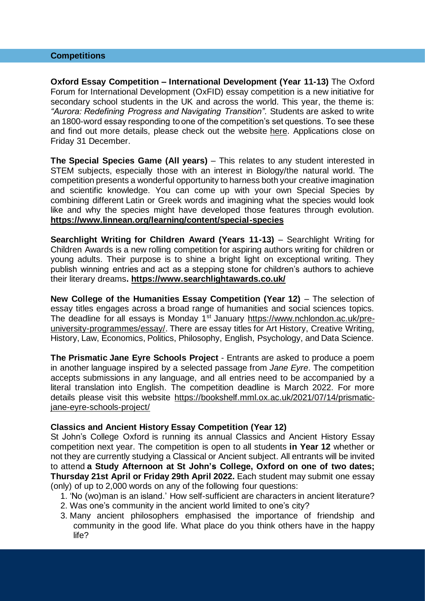#### **Competitions**

**Oxford Essay Competition – International Development (Year 11-13)** The Oxford Forum for International Development (OxFID) essay competition is a new initiative for secondary school students in the UK and across the world. This year, the theme is: *"Aurora: Redefining Progress and Navigating Transition".* Students are asked to write an 1800-word essay responding to one of the competition's set questions. To see these and find out more details, please check out the website [here.](https://www.oxfid.co.uk/essay-competition) Applications close on Friday 31 December.

**The Special Species Game (All years)** – This relates to any student interested in STEM subjects, especially those with an interest in Biology/the natural world. The competition presents a wonderful opportunity to harness both your creative imagination and scientific knowledge. You can come up with your own Special Species by combining different Latin or Greek words and imagining what the species would look like and why the species might have developed those features through evolution. **<https://www.linnean.org/learning/content/special-species>**

**Searchlight Writing for Children Award (Years 11-13)** – Searchlight Writing for Children Awards is a new rolling competition for aspiring authors writing for children or young adults. Their purpose is to shine a bright light on exceptional writing. They publish winning entries and act as a stepping stone for children's authors to achieve their literary dreams**.<https://www.searchlightawards.co.uk/>**

**New College of the Humanities Essay Competition (Year 12)** – The selection of essay titles engages across a broad range of humanities and social sciences topics. The deadline for all essays is Monday 1<sup>st</sup> January [https://www.nchlondon.ac.uk/pre](https://www.nchlondon.ac.uk/pre-university-programmes/essay/)[university-programmes/essay/.](https://www.nchlondon.ac.uk/pre-university-programmes/essay/) There are essay titles for Art History, Creative Writing, History, Law, Economics, Politics, Philosophy, English, Psychology, and Data Science.

**The Prismatic Jane Eyre Schools Project** - Entrants are asked to produce a poem in another language inspired by a selected passage from *Jane Eyre*. The competition accepts submissions in any language, and all entries need to be accompanied by a literal translation into English. The competition deadline is March 2022. For more details please visit this website [https://bookshelf.mml.ox.ac.uk/2021/07/14/prismatic](https://bookshelf.mml.ox.ac.uk/2021/07/14/prismatic-jane-eyre-schools-project/)[jane-eyre-schools-project/](https://bookshelf.mml.ox.ac.uk/2021/07/14/prismatic-jane-eyre-schools-project/)

#### **Classics and Ancient History Essay Competition (Year 12)**

St John's College Oxford is running its annual Classics and Ancient History Essay competition next year. The competition is open to all students **in Year 12** whether or not they are currently studying a Classical or Ancient subject. All entrants will be invited to attend **a Study Afternoon at St John's College, Oxford on one of two dates; Thursday 21st April or Friday 29th April 2022.** Each student may submit one essay (only) of up to 2,000 words on any of the following four questions:

- 1. 'No (wo)man is an island.' How self-sufficient are characters in ancient literature?
- 2. Was one's community in the ancient world limited to one's city?
- 3. Many ancient philosophers emphasised the importance of friendship and community in the good life. What place do you think others have in the happy life?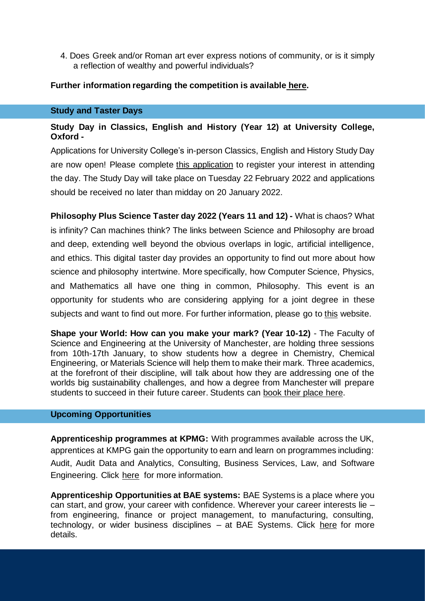4. Does Greek and/or Roman art ever express notions of community, or is it simply a reflection of wealthy and powerful individuals?

## **Further information regarding the competition is available [here.](https://www.sjc.ox.ac.uk/discover/events/classics-and-ancient-history-essay-competition-202122/)**

#### **Study and Taster Days**

## **Study Day in Classics, English and History (Year 12) at University College, Oxford -**

Applications for University College's in-person Classics, English and History Study Day are now open! Please complete this [application](https://forms.nintex.com/FormHost.aspx?id=1qrgpRwqji7wlmIS_tPYv09tm7agSEdeeAh7O-rjVCA8-dG5i-dpcoYAsJhQP8ILTdaPV9GXEdo79-ikdBfgN3yPd6HNChRlyygJieZ1MwC6E3o8-EyvTemTo6wy9WPM) to register your interest in attending the day. The Study Day will take place on Tuesday 22 February 2022 and applications should be received no later than midday on 20 January 2022.

**Philosophy Plus Science Taster day 2022 (Years 11 and 12) -** What is chaos? What is infinity? Can machines think? The links between Science and Philosophy are broad and deep, extending well beyond the obvious overlaps in logic, artificial intelligence, and ethics. This digital taster day provides an opportunity to find out more about how science and philosophy intertwine. More specifically, how Computer Science, Physics, and Mathematics all have one thing in common, Philosophy. This event is an opportunity for students who are considering applying for a joint degree in these subjects and want to find out more. For further information, please go to [this](http://www.cs.ox.ac.uk/philosophyplus/) website.

**Shape your World: How can you make your mark? (Year 10-12)** - The Faculty of Science and Engineering at the University of Manchester, are holding three sessions from 10th-17th January, to show students how a degree in Chemistry, Chemical Engineering, or Materials Science will help them to make their mark. Three academics, at the forefront of their discipline, will talk about how they are addressing one of the worlds big sustainability challenges, and how a degree from Manchester will prepare students to succeed in their future career. Students can book their [place](https://emarketing.manchester.ac.uk/uomstudentcommslz/lz.aspx?p1=M8ADU2MDI4ODlTMzY5NzpFN0JCMUM3OEVGRTcwMjE1MUM1MkRBNUYwMjk2NjdCRQ%3d%3d-&CC=&w=192928) here.

#### **Upcoming Opportunities**

**Apprenticeship programmes at KPMG:** With programmes available across the UK, apprentices at KMPG gain the opportunity to earn and learn on programmes including: Audit, Audit Data and Analytics, Consulting, Business Services, Law, and Software Engineering. Click [here](https://www.kpmgcareers.co.uk/apprentice/) for more information.

**Apprenticeship Opportunities at BAE systems:** BAE Systems is a place where you can start, and grow, your career with confidence. Wherever your career interests lie – from engineering, finance or project management, to manufacturing, consulting, technology, or wider business disciplines – at BAE Systems. Click [here](https://www.baesystems.com/en/careers/careers-in-the-uk/apprenticeships) for more details.